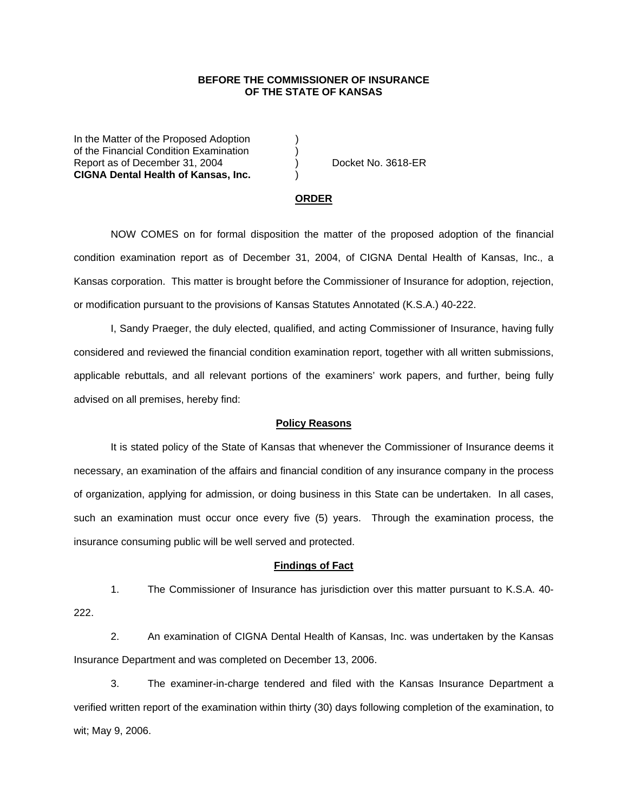## **BEFORE THE COMMISSIONER OF INSURANCE OF THE STATE OF KANSAS**

In the Matter of the Proposed Adoption of the Financial Condition Examination ) Report as of December 31, 2004 (a) Docket No. 3618-ER **CIGNA Dental Health of Kansas, Inc.** )

#### **ORDER**

 NOW COMES on for formal disposition the matter of the proposed adoption of the financial condition examination report as of December 31, 2004, of CIGNA Dental Health of Kansas, Inc., a Kansas corporation. This matter is brought before the Commissioner of Insurance for adoption, rejection, or modification pursuant to the provisions of Kansas Statutes Annotated (K.S.A.) 40-222.

 I, Sandy Praeger, the duly elected, qualified, and acting Commissioner of Insurance, having fully considered and reviewed the financial condition examination report, together with all written submissions, applicable rebuttals, and all relevant portions of the examiners' work papers, and further, being fully advised on all premises, hereby find:

### **Policy Reasons**

 It is stated policy of the State of Kansas that whenever the Commissioner of Insurance deems it necessary, an examination of the affairs and financial condition of any insurance company in the process of organization, applying for admission, or doing business in this State can be undertaken. In all cases, such an examination must occur once every five (5) years. Through the examination process, the insurance consuming public will be well served and protected.

#### **Findings of Fact**

 1. The Commissioner of Insurance has jurisdiction over this matter pursuant to K.S.A. 40- 222.

 2. An examination of CIGNA Dental Health of Kansas, Inc. was undertaken by the Kansas Insurance Department and was completed on December 13, 2006.

 3. The examiner-in-charge tendered and filed with the Kansas Insurance Department a verified written report of the examination within thirty (30) days following completion of the examination, to wit; May 9, 2006.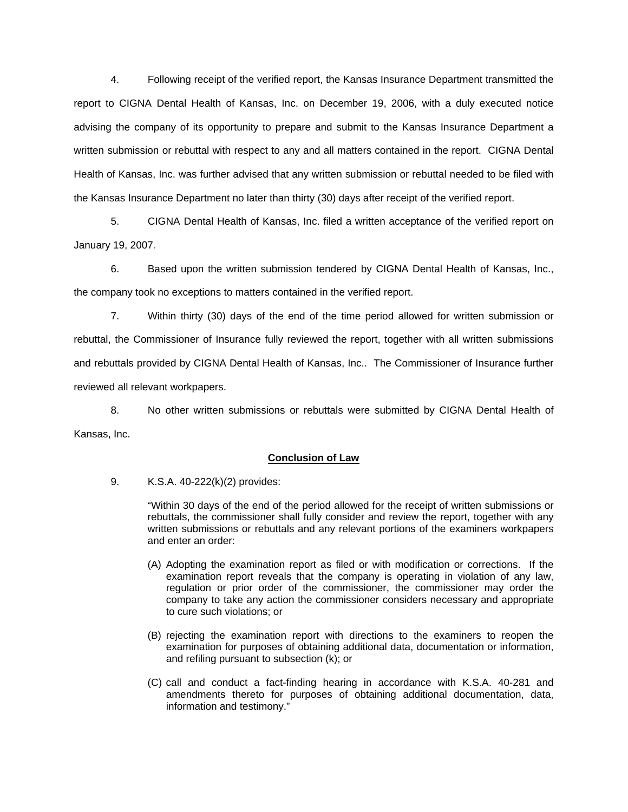4. Following receipt of the verified report, the Kansas Insurance Department transmitted the report to CIGNA Dental Health of Kansas, Inc. on December 19, 2006, with a duly executed notice advising the company of its opportunity to prepare and submit to the Kansas Insurance Department a written submission or rebuttal with respect to any and all matters contained in the report. CIGNA Dental Health of Kansas, Inc. was further advised that any written submission or rebuttal needed to be filed with the Kansas Insurance Department no later than thirty (30) days after receipt of the verified report.

 5. CIGNA Dental Health of Kansas, Inc. filed a written acceptance of the verified report on January 19, 2007.

6. Based upon the written submission tendered by CIGNA Dental Health of Kansas, Inc., the company took no exceptions to matters contained in the verified report.

 7. Within thirty (30) days of the end of the time period allowed for written submission or rebuttal, the Commissioner of Insurance fully reviewed the report, together with all written submissions and rebuttals provided by CIGNA Dental Health of Kansas, Inc.. The Commissioner of Insurance further reviewed all relevant workpapers.

 8. No other written submissions or rebuttals were submitted by CIGNA Dental Health of Kansas, Inc.

## **Conclusion of Law**

9. K.S.A. 40-222(k)(2) provides:

"Within 30 days of the end of the period allowed for the receipt of written submissions or rebuttals, the commissioner shall fully consider and review the report, together with any written submissions or rebuttals and any relevant portions of the examiners workpapers and enter an order:

- (A) Adopting the examination report as filed or with modification or corrections. If the examination report reveals that the company is operating in violation of any law, regulation or prior order of the commissioner, the commissioner may order the company to take any action the commissioner considers necessary and appropriate to cure such violations; or
- (B) rejecting the examination report with directions to the examiners to reopen the examination for purposes of obtaining additional data, documentation or information, and refiling pursuant to subsection (k); or
- (C) call and conduct a fact-finding hearing in accordance with K.S.A. 40-281 and amendments thereto for purposes of obtaining additional documentation, data, information and testimony."